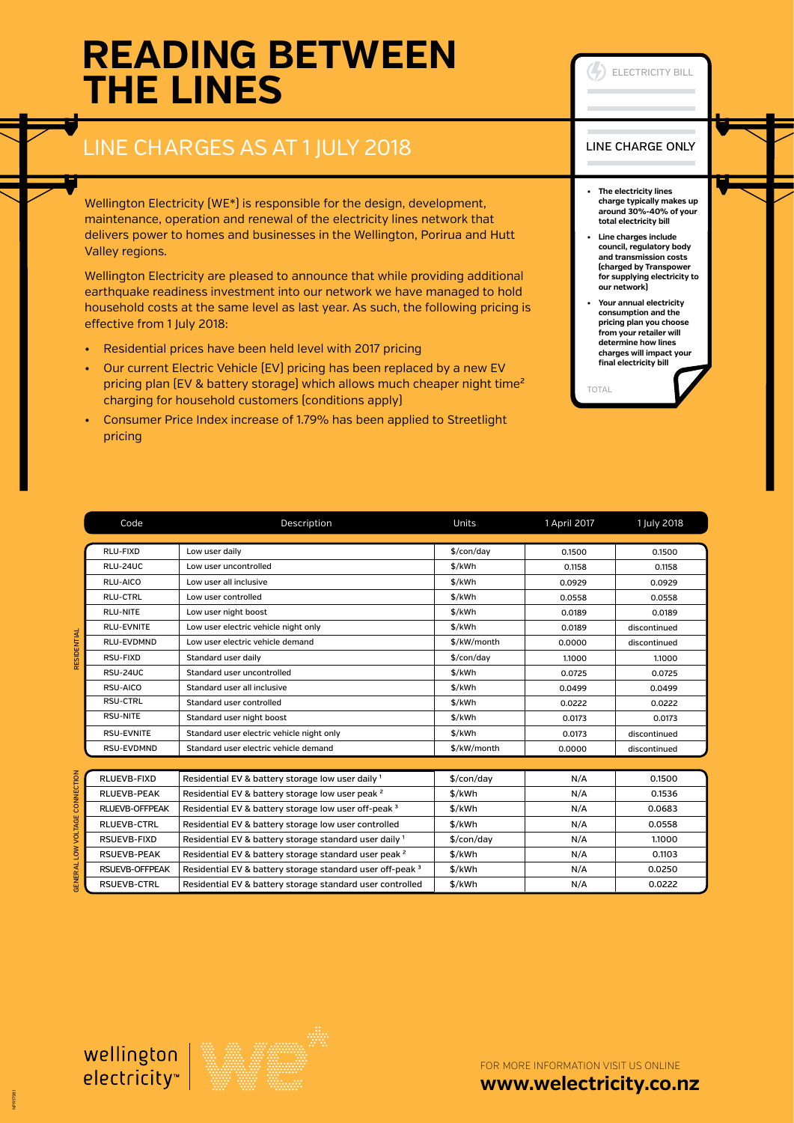# **READING BETWEEN THE LINES**

## LINE CHARGES AS AT 1 JULY 2018

Wellington Electricity (WE\*) is responsible for the design, development, maintenance, operation and renewal of the electricity lines network that delivers power to homes and businesses in the Wellington, Porirua and Hutt Valley regions.

Wellington Electricity are pleased to announce that while providing additional earthquake readiness investment into our network we have managed to hold household costs at the same level as last year. As such, the following pricing is effective from 1 July 2018:

- Residential prices have been held level with 2017 pricing
- Our current Electric Vehicle (EV) pricing has been replaced by a new EV pricing plan (EV & battery storage) which allows much cheaper night time<sup>2</sup> charging for household customers (conditions apply)
- Consumer Price Index increase of 1.79% has been applied to Streetlight pricing

### Code Description Units 1 April 2017 1 July 2018 RLU-FIXD Low user daily \$/con/day 0.1500 0.1500 RLU-24UC Low user uncontrolled \$/kWh 0.1158 0.1158 RLU-AICO Low user all inclusive the state of the state of the state of the conduction of the conduction of the conduction of the conduction of the conduction of the conduction of the conduction of the conduction of the con RLU-CTRL Low user controlled \$/kWh 0.0558 0.0558 RLU-NITE Low user night boost the state of the sylven of the sylven of the sylven of the sylven of the sylven of the sylven of the sylven of the sylven of the sylven of the sylven of the sylven of the sylven of the sylven RLU-EVNITE Low user electric vehicle night only the state of the sylk Wh discontinued RLU-EVDMND Low user electric vehicle demand  $$/kW/m$ onth 0.0000 discontinued RSU-FIXD Standard user daily \$/con/day 1.1000 1.1000

RSU-24UC Standard user uncontrolled and the state of the state of the state of the standard user uncontrolled

RSUEVB-CTRL Residential EV & battery storage standard user controlled \$/kWh N/A N/A 0.0222

RESIDENTIAL

|  | RSU-AICO              | Standard user all inclusive                                      | \$/kWh                 | 0.0499 | 0.0499       |  |  |
|--|-----------------------|------------------------------------------------------------------|------------------------|--------|--------------|--|--|
|  | <b>RSU-CTRL</b>       | Standard user controlled                                         | \$/kWh                 | 0.0222 | 0.0222       |  |  |
|  | RSU-NITE              | Standard user night boost                                        | \$/kWh                 | 0.0173 | 0.0173       |  |  |
|  | <b>RSU-EVNITE</b>     | Standard user electric vehicle night only                        | \$/kWh                 | 0.0173 | discontinued |  |  |
|  | RSU-EVDMND            | Standard user electric vehicle demand                            | \$/kW/month            | 0.0000 | discontinued |  |  |
|  |                       |                                                                  |                        |        |              |  |  |
|  | RLUEVB-FIXD           | Residential EV & battery storage low user daily 1                | $\frac{1}{2}$ /con/day | N/A    | 0.1500       |  |  |
|  | <b>RLUEVB-PEAK</b>    | Residential EV & battery storage low user peak <sup>2</sup>      | \$/kWh                 | N/A    | 0.1536       |  |  |
|  | <b>RLUEVB-OFFPEAK</b> | Residential EV & battery storage low user off-peak 3             | \$/kWh                 | N/A    | 0.0683       |  |  |
|  | <b>RLUEVB-CTRL</b>    | Residential EV & battery storage low user controlled             | \$/kWh                 | N/A    | 0.0558       |  |  |
|  | RSUEVB-FIXD           | Residential EV & battery storage standard user daily 1           | $\frac{1}{2}$ /con/day | N/A    | 1.1000       |  |  |
|  | <b>RSUEVB-PEAK</b>    | Residential EV & battery storage standard user peak <sup>2</sup> | \$/kWh                 | N/A    | 0.1103       |  |  |
|  | <b>RSUEVB-OFFPEAK</b> | Residential EV & battery storage standard user off-peak 3        | \$/kWh                 | N/A    | 0.0250       |  |  |



FOR MORE INFORMATION VISIT US ONLINE **[www.welectricity.co.nz](http://www.welectricity.co.nz)**

#### LINE CHARGE ONLY

ELECTRICITY BILL

- **• The electricity lines charge typically makes up around 30%-40% of your total electricity bill**
- **• Line charges include council, regulatory body and transmission costs (charged by Transpower for supplying electricity to our network)**
- **• Your annual electricity consumption and the pricing plan you choose from your retailer will determine how lines charges will impact your final electricity bill**

TOTAL

GENERAL LOW VOLTAGE CONNECTION

NPR17981